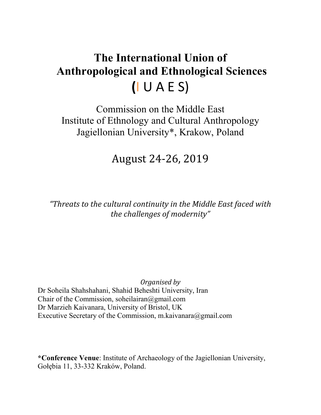# **The International Union of Anthropological and Ethnological Sciences (**I U A E S)

Commission on the Middle East Institute of Ethnology and Cultural Anthropology Jagiellonian University\*, Krakow, Poland

## August 24-26, 2019

*"Threats to the cultural continuity in the Middle East faced with the challenges of modernity"*

*Organised by* Dr Soheila Shahshahani, Shahid Beheshti University, Iran Chair of the Commission, [soheilairan@gmail.com](mailto:soheilairan@gmail.com) Dr Marzieh Kaivanara, University of Bristol, UK Executive Secretary of the Commission, [m.kaivanara@gmail.com](mailto:m.kaivanara@gmail.com)

**\*Conference Venue**: Institute of Archaeology of the Jagiellonian University, Gołębia 11, 33-332 Kraków, Poland.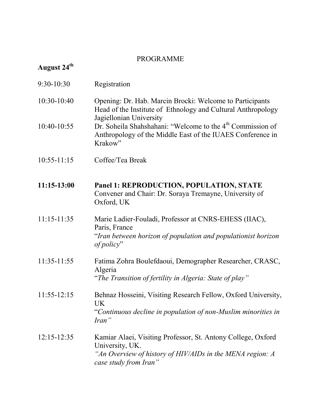#### PROGRAMME

### **August 24th**

| $9:30 - 10:30$ | Registration |
|----------------|--------------|
|----------------|--------------|

- 10:30-10:40 Opening: Dr. Hab. Marcin Brocki: Welcome to Participants Head of the Institute of Ethnology and Cultural Anthropology Jagiellonian University
- 10:40-10:55 Dr. Soheila Shahshahani: "Welcome to the 4<sup>th</sup> Commission of Anthropology of the Middle East of the IUAES Conference in Krakow"
- 10:55-11:15 Coffee/Tea Break
- **11:15-13:00 Panel 1: REPRODUCTION, POPULATION, STATE** Convener and Chair: Dr. Soraya Tremayne, University of Oxford, UK
- 11:15-11:35 Marie Ladier-Fouladi, Professor at CNRS-EHESS (IIAC), Paris, France "*Iran between horizon of population and populationist horizon of policy*"
- 11:35-11:55 Fatima Zohra Boulefdaoui, Demographer Researcher, CRASC, Algeria "*The Transition of fertility in Algeria: State of play"*
- 11:55-12:15 Behnaz Hosseini, Visiting Research Fellow, Oxford University, UK "*Continuous decline in population of non-Muslim minorities in Iran"*
- 12:15-12:35 Kamiar Alaei, Visiting Professor, St. Antony College, Oxford University, UK. *"An Overview of history of HIV/AIDs in the MENA region: A case study from Iran"*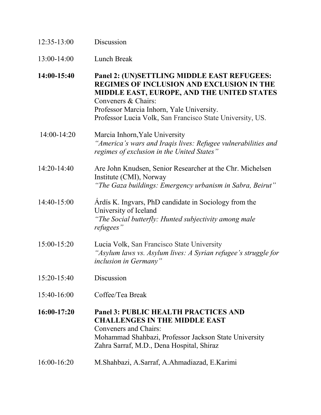| $12:35-13:00$ | Discussion |
|---------------|------------|
|               |            |

13:00-14:00 Lunch Break

**14:00-15:40 Panel 2: (UN)SETTLING MIDDLE EAST REFUGEES: REGIMES OF INCLUSION AND EXCLUSION IN THE MIDDLE EAST, EUROPE, AND THE UNITED STATES** Conveners & Chairs: Professor Marcia Inhorn, Yale University. Professor Lucia Volk, San Francisco State University, US.

- 14:00-14:20 Marcia Inhorn,Yale University *"America's wars and Iraqis lives: Refugee vulnerabilities and regimes of exclusion in the United States"*
- 14:20-14:40 Are John Knudsen, Senior Researcher at the Chr. Michelsen Institute (CMI), Norway *"The Gaza buildings: Emergency urbanism in Sabra, Beirut"*

### 14:40-15:00 Árdís K. Ingvars, PhD candidate in Sociology from the University of Iceland *"The Social butterfly: Hunted subjectivity among male refugees"*

- 15:00-15:20 Lucia Volk, San Francisco State University *"Asylum laws vs. Asylum lives: A Syrian refugee's struggle for inclusion in Germany"*
- 15:20-15:40 Discussion
- 15:40-16:00 Coffee/Tea Break

**16:00-17:20 Panel 3: PUBLIC HEALTH PRACTICES AND CHALLENGES IN THE MIDDLE EAST** Conveners and Chairs: Mohammad Shahbazi, Professor Jackson State University Zahra Sarraf, M.D., Dena Hospital, Shiraz

16:00-16:20 M.Shahbazi, A.Sarraf, A.Ahmadiazad, E.Karimi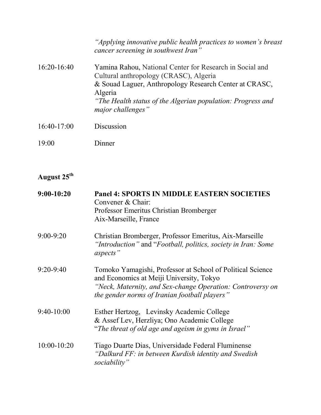|               | "Applying innovative public health practices to women's breast<br>cancer screening in southwest Iran"                                                                                                                                                       |
|---------------|-------------------------------------------------------------------------------------------------------------------------------------------------------------------------------------------------------------------------------------------------------------|
| $16:20-16:40$ | Yamina Rahou, National Center for Research in Social and<br>Cultural anthropology (CRASC), Algeria<br>& Souad Laguer, Anthropology Research Center at CRASC,<br>Algeria<br>"The Health status of the Algerian population: Progress and<br>major challenges" |
| $16:40-17:00$ | Discussion                                                                                                                                                                                                                                                  |

19:00 Dinner

# **August 25th**

| $9:00-10:20$    | <b>Panel 4: SPORTS IN MIDDLE EASTERN SOCIETIES</b><br>Convener & Chair:<br>Professor Emeritus Christian Bromberger<br>Aix-Marseille, France                                                                           |
|-----------------|-----------------------------------------------------------------------------------------------------------------------------------------------------------------------------------------------------------------------|
| 9:00-9:20       | Christian Bromberger, Professor Emeritus, Aix-Marseille<br>"Introduction" and "Football, politics, society in Iran: Some<br>aspects"                                                                                  |
| $9:20 - 9:40$   | Tomoko Yamagishi, Professor at School of Political Science<br>and Economics at Meiji University, Tokyo<br>"Neck, Maternity, and Sex-change Operation: Controversy on<br>the gender norms of Iranian football players" |
| $9:40-10:00$    | Esther Hertzog, Levinsky Academic College<br>& Assef Lev, Herzliya; Ono Academic College<br>"The threat of old age and ageism in gyms in Israel"                                                                      |
| $10:00 - 10:20$ | Tiago Duarte Dias, Universidade Federal Fluminense<br>"Dalkurd FF: in between Kurdish identity and Swedish<br>sociability"                                                                                            |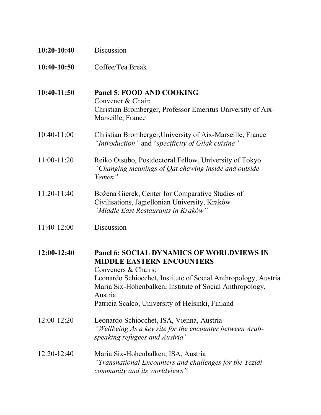| $10:20-10:40$ | Discussion                                                                                                                                                                                                                                                                                               |
|---------------|----------------------------------------------------------------------------------------------------------------------------------------------------------------------------------------------------------------------------------------------------------------------------------------------------------|
| 10:40-10:50   | Coffee/Tea Break                                                                                                                                                                                                                                                                                         |
| 10:40-11:50   | Panel 5: FOOD AND COOKING<br>Convener & Chair:<br>Christian Bromberger, Professor Emeritus University of Aix-<br>Marseille, France                                                                                                                                                                       |
| $10:40-11:00$ | Christian Bromberger, University of Aix-Marseille, France<br>"Introduction" and "specificity of Gilak cuisine"                                                                                                                                                                                           |
| 11:00-11:20   | Reiko Otsubo, Postdoctoral Fellow, University of Tokyo<br>"Changing meanings of Qat chewing inside and outside<br>Yemen"                                                                                                                                                                                 |
| $11:20-11:40$ | Bożena Gierek, Center for Comparative Studies of<br>Civilisations, Jagiellonian University, Kraków<br>"Middle East Restaurants in Kraków"                                                                                                                                                                |
| 11:40-12:00   | Discussion                                                                                                                                                                                                                                                                                               |
| 12:00-12:40   | <b>Panel 6: SOCIAL DYNAMICS OF WORLDVIEWS IN</b><br><b>MIDDLE EASTERN ENCOUNTERS</b><br>Conveners & Chairs:<br>Leonardo Schiocchet, Institute of Social Anthropology, Austria<br>Maria Six-Hohenbalken, Institute of Social Anthropology,<br>Austria<br>Patricia Scalco, University of Helsinki, Finland |
| $12:00-12:20$ | Leonardo Schiocchet, ISA, Vienna, Austria<br>"Wellbeing As a key site for the encounter between Arab-<br>speaking refugees and Austria"                                                                                                                                                                  |
| $12:20-12:40$ | Maria Six-Hohenbalken, ISA, Austria<br>"Transnational Encounters and challenges for the Yezidi<br>community and its worldviews"                                                                                                                                                                          |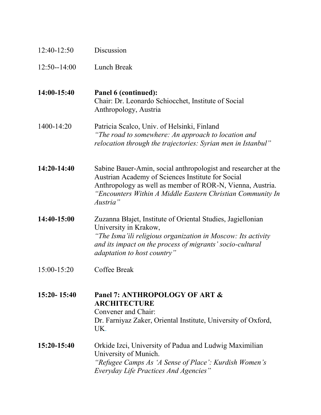| 12:40-12:50     | Discussion                                                                                                                                                                                                                                                 |
|-----------------|------------------------------------------------------------------------------------------------------------------------------------------------------------------------------------------------------------------------------------------------------------|
| $12:50 - 14:00$ | Lunch Break                                                                                                                                                                                                                                                |
| 14:00-15:40     | Panel 6 (continued):<br>Chair: Dr. Leonardo Schiocchet, Institute of Social<br>Anthropology, Austria                                                                                                                                                       |
| 1400-14:20      | Patricia Scalco, Univ. of Helsinki, Finland<br>"The road to somewhere: An approach to location and<br>relocation through the trajectories: Syrian men in Istanbul"                                                                                         |
| 14:20-14:40     | Sabine Bauer-Amin, social anthropologist and researcher at the<br>Austrian Academy of Sciences Institute for Social<br>Anthropology as well as member of ROR-N, Vienna, Austria.<br>"Encounters Within A Middle Eastern Christian Community In<br>Austria" |
| 14:40-15:00     | Zuzanna Błajet, Institute of Oriental Studies, Jagiellonian<br>University in Krakow,<br>"The Isma'ili religious organization in Moscow: Its activity<br>and its impact on the process of migrants' socio-cultural<br><i>adaptation to host country</i> "   |
| 15:00-15:20     | <b>Coffee Break</b>                                                                                                                                                                                                                                        |
| $15:20 - 15:40$ | Panel 7: ANTHROPOLOGY OF ART &<br><b>ARCHITECTURE</b><br>Convener and Chair:<br>Dr. Farniyaz Zaker, Oriental Institute, University of Oxford,<br>UK.                                                                                                       |
| $15:20-15:40$   | Orkide Izci, University of Padua and Ludwig Maximilian<br>University of Munich.<br>"Refugee Camps As 'A Sense of Place': Kurdish Women's<br><b>Everyday Life Practices And Agencies</b> "                                                                  |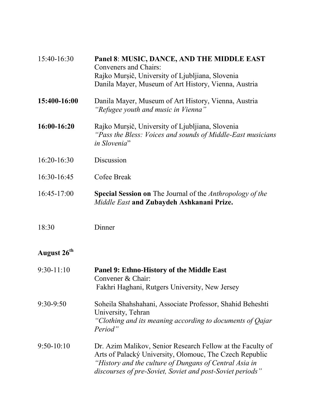| 15:40-16:30             | Panel 8: MUSIC, DANCE, AND THE MIDDLE EAST<br><b>Conveners and Chairs:</b><br>Rajko Murșič, University of Ljubljiana, Slovenia<br>Danila Mayer, Museum of Art History, Vienna, Austria                                                       |
|-------------------------|----------------------------------------------------------------------------------------------------------------------------------------------------------------------------------------------------------------------------------------------|
| 15:400-16:00            | Danila Mayer, Museum of Art History, Vienna, Austria<br>"Refugee youth and music in Vienna"                                                                                                                                                  |
| 16:00-16:20             | Rajko Mursič, University of Ljubljiana, Slovenia<br>"Pass the Bless: Voices and sounds of Middle-East musicians"<br>in Slovenia"                                                                                                             |
| 16:20-16:30             | Discussion                                                                                                                                                                                                                                   |
| 16:30-16:45             | Cofee Break                                                                                                                                                                                                                                  |
| 16:45-17:00             | <b>Special Session on</b> The Journal of the <i>Anthropology of the</i><br>Middle East and Zubaydeh Ashkanani Prize.                                                                                                                         |
| 18:30                   | Dinner                                                                                                                                                                                                                                       |
| August 26 <sup>th</sup> |                                                                                                                                                                                                                                              |
| $9:30-11:10$            | Panel 9: Ethno-History of the Middle East<br>Convener & Chair:<br>Fakhri Haghani, Rutgers University, New Jersey                                                                                                                             |
| 9:30-9:50               | Soheila Shahshahani, Associate Professor, Shahid Beheshti<br>University, Tehran<br>"Clothing and its meaning according to documents of Qajar<br>Period"                                                                                      |
| $9:50-10:10$            | Dr. Azim Malikov, Senior Research Fellow at the Faculty of<br>Arts of Palacký University, Olomouc, The Czech Republic<br>"History and the culture of Dungans of Central Asia in<br>discourses of pre-Soviet, Soviet and post-Soviet periods" |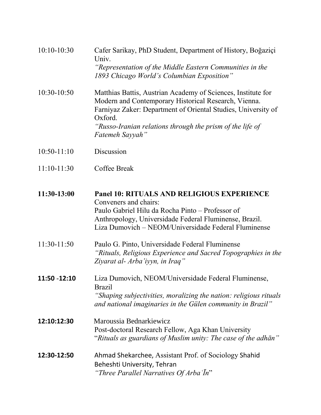| $10:10-10:30$ | Cafer Sarikay, PhD Student, Department of History, Boğaziçi<br>Univ.<br>"Representation of the Middle Eastern Communities in the<br>1893 Chicago World's Columbian Exposition"                                                                                                   |
|---------------|----------------------------------------------------------------------------------------------------------------------------------------------------------------------------------------------------------------------------------------------------------------------------------|
| 10:30-10:50   | Matthias Battis, Austrian Academy of Sciences, Institute for<br>Modern and Contemporary Historical Research, Vienna.<br>Farniyaz Zaker: Department of Oriental Studies, University of<br>Oxford.<br>"Russo-Iranian relations through the prism of the life of<br>Fatemeh Sayyah" |
| $10:50-11:10$ | Discussion                                                                                                                                                                                                                                                                       |
| $11:10-11:30$ | Coffee Break                                                                                                                                                                                                                                                                     |
| 11:30-13:00   | <b>Panel 10: RITUALS AND RELIGIOUS EXPERIENCE</b><br>Conveners and chairs:<br>Paulo Gabriel Hilu da Rocha Pinto - Professor of<br>Anthropology, Universidade Federal Fluminense, Brazil.<br>Liza Dumovich - NEOM/Universidade Federal Fluminense                                 |
| $11:30-11:50$ | Paulo G. Pinto, Universidade Federal Fluminense<br>"Rituals, Religious Experience and Sacred Topographies in the<br>Ziyarat al- Arba'iyyn, in Iraq"                                                                                                                              |
| 11:50 -12:10  | Liza Dumovich, NEOM/Universidade Federal Fluminense.<br><b>Brazil</b><br>"Shaping subjectivities, moralizing the nation: religious rituals<br>and national imaginaries in the Gülen community in Brazil"                                                                         |
| 12:10:12:30   | Maroussia Bednarkiewicz<br>Post-doctoral Research Fellow, Aga Khan University<br>"Rituals as guardians of Muslim unity: The case of the adhān"                                                                                                                                   |
| 12:30-12:50   | Ahmad Shekarchee, Assistant Prof. of Sociology Shahid<br>Beheshti University, Tehran<br>"Three Parallel Narratives Of Arba In"                                                                                                                                                   |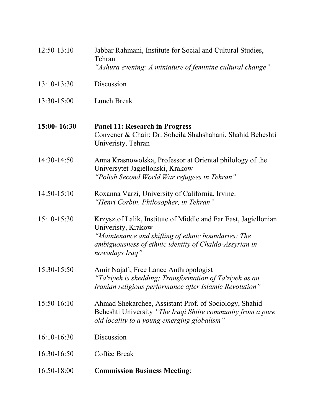| $12:50-13:10$ | Jabbar Rahmani, Institute for Social and Cultural Studies,<br>Tehran<br>"Ashura evening: A miniature of feminine cultural change"                                                                                        |
|---------------|--------------------------------------------------------------------------------------------------------------------------------------------------------------------------------------------------------------------------|
| 13:10-13:30   | Discussion                                                                                                                                                                                                               |
| 13:30-15:00   | Lunch Break                                                                                                                                                                                                              |
| 15:00-16:30   | <b>Panel 11: Research in Progress</b><br>Convener & Chair: Dr. Soheila Shahshahani, Shahid Beheshti<br>Univeristy, Tehran                                                                                                |
| 14:30-14:50   | Anna Krasnowolska, Professor at Oriental philology of the<br>Universytet Jagiellonski, Krakow<br>"Polish Second World War refugees in Tehran"                                                                            |
| $14:50-15:10$ | Roxanna Varzi, University of California, Irvine.<br>"Henri Corbin, Philosopher, in Tehran"                                                                                                                               |
| 15:10-15:30   | Krzysztof Lalik, Institute of Middle and Far East, Jagiellonian<br>Univeristy, Krakow<br>"Maintenance and shifting of ethnic boundaries: The<br>ambiguousness of ethnic identity of Chaldo-Assyrian in<br>nowadays Iraq" |
| 15:30-15:50   | Amir Najafi, Free Lance Anthropologist<br>"Ta'ziyeh is shedding; Transformation of Ta'ziyeh as an<br>Iranian religious performance after Islamic Revolution"                                                             |
| 15:50-16:10   | Ahmad Shekarchee, Assistant Prof. of Sociology, Shahid<br>Beheshti University "The Iraqi Shiite community from a pure<br>old locality to a young emerging globalism"                                                     |
| $16:10-16:30$ | Discussion                                                                                                                                                                                                               |
| 16:30-16:50   | Coffee Break                                                                                                                                                                                                             |
| 16:50-18:00   | <b>Commission Business Meeting:</b>                                                                                                                                                                                      |